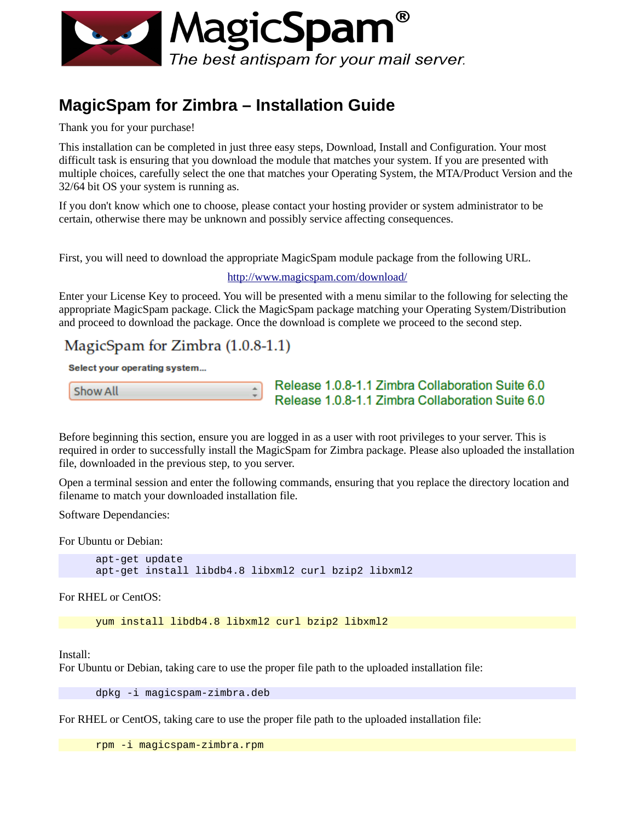

# **MagicSpam for Zimbra – Installation Guide**

Thank you for your purchase!

This installation can be completed in just three easy steps, Download, Install and Configuration. Your most difficult task is ensuring that you download the module that matches your system. If you are presented with multiple choices, carefully select the one that matches your Operating System, the MTA/Product Version and the 32/64 bit OS your system is running as.

If you don't know which one to choose, please contact your hosting provider or system administrator to be certain, otherwise there may be unknown and possibly service affecting consequences.

First, you will need to download the appropriate MagicSpam module package from the following URL.

#### <http://www.magicspam.com/download/>

Enter your License Key to proceed. You will be presented with a menu similar to the following for selecting the appropriate MagicSpam package. Click the MagicSpam package matching your Operating System/Distribution and proceed to download the package. Once the download is complete we proceed to the second step.

## MagicSpam for Zimbra  $(1.0.8-1.1)$

Select your operating system...

```
Show All
```
Release 1.0.8-1.1 Zimbra Collaboration Suite 6.0 Release 1.0.8-1.1 Zimbra Collaboration Suite 6.0

Before beginning this section, ensure you are logged in as a user with root privileges to your server. This is required in order to successfully install the MagicSpam for Zimbra package. Please also uploaded the installation file, downloaded in the previous step, to you server.

Open a terminal session and enter the following commands, ensuring that you replace the directory location and filename to match your downloaded installation file.

Software Dependancies:

For Ubuntu or Debian:

apt-get update apt-get install libdb4.8 libxml2 curl bzip2 libxml2

For RHEL or CentOS:

yum install libdb4.8 libxml2 curl bzip2 libxml2

Install:

For Ubuntu or Debian, taking care to use the proper file path to the uploaded installation file:

dpkg -i magicspam-zimbra.deb

For RHEL or CentOS, taking care to use the proper file path to the uploaded installation file:

rpm -i magicspam-zimbra.rpm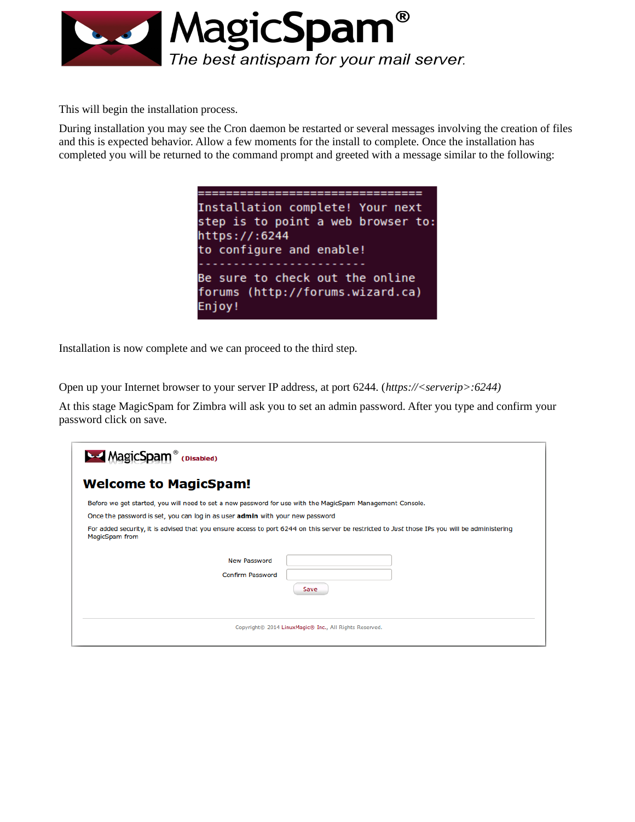

This will begin the installation process.

During installation you may see the Cron daemon be restarted or several messages involving the creation of files and this is expected behavior. Allow a few moments for the install to complete. Once the installation has completed you will be returned to the command prompt and greeted with a message similar to the following:

> .================================= Installation complete! Your next step is to point a web browser to: https://:6244 to configure and enable! Be sure to check out the online forums (http://forums.wizard.ca) Enjoy!

Installation is now complete and we can proceed to the third step.

Open up your Internet browser to your server IP address, at port 6244. (*https://<serverip>:6244)*

At this stage MagicSpam for Zimbra will ask you to set an admin password. After you type and confirm your password click on save.

| <b>MagicSpam</b> <sup>®</sup><br>(Disabled)                                                               |                                                                                                                                                |
|-----------------------------------------------------------------------------------------------------------|------------------------------------------------------------------------------------------------------------------------------------------------|
| <b>Welcome to MagicSpam!</b>                                                                              |                                                                                                                                                |
| Before we get started, you will need to set a new password for use with the MagicSpam Management Console. |                                                                                                                                                |
| Once the password is set, you can log in as user admin with your new password                             |                                                                                                                                                |
| MagicSpam from                                                                                            | For added security, it is advised that you ensure access to port 6244 on this server be restricted to Just those IPs you will be administering |
| New Password                                                                                              |                                                                                                                                                |
| <b>Confirm Password</b>                                                                                   |                                                                                                                                                |
|                                                                                                           | Save                                                                                                                                           |
|                                                                                                           | Copyright© 2014 LinuxMagic® Inc., All Rights Reserved.                                                                                         |